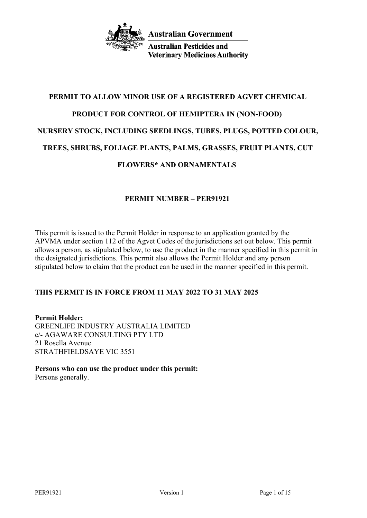

**Australian Pesticides and Veterinary Medicines Authority** 

# **PERMIT TO ALLOW MINOR USE OF A REGISTERED AGVET CHEMICAL PRODUCT FOR CONTROL OF HEMIPTERA IN (NON-FOOD) NURSERY STOCK, INCLUDING SEEDLINGS, TUBES, PLUGS, POTTED COLOUR, TREES, SHRUBS, FOLIAGE PLANTS, PALMS, GRASSES, FRUIT PLANTS, CUT FLOWERS\* AND ORNAMENTALS**

# **PERMIT NUMBER – PER91921**

This permit is issued to the Permit Holder in response to an application granted by the APVMA under section 112 of the Agvet Codes of the jurisdictions set out below. This permit allows a person, as stipulated below, to use the product in the manner specified in this permit in the designated jurisdictions. This permit also allows the Permit Holder and any person stipulated below to claim that the product can be used in the manner specified in this permit.

# **THIS PERMIT IS IN FORCE FROM 11 MAY 2022 TO 31 MAY 2025**

**Permit Holder:** GREENLIFE INDUSTRY AUSTRALIA LIMITED c/- AGAWARE CONSULTING PTY LTD 21 Rosella Avenue STRATHFIELDSAYE VIC 3551

**Persons who can use the product under this permit:** Persons generally.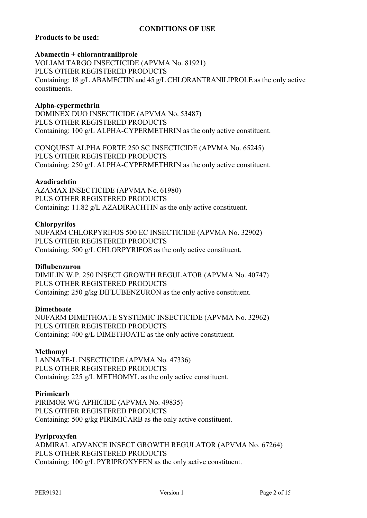# **CONDITIONS OF USE**

# **Products to be used:**

#### **Abamectin + chlorantraniliprole**

VOLIAM TARGO INSECTICIDE (APVMA No. 81921) PLUS OTHER REGISTERED PRODUCTS Containing: 18 g/L ABAMECTIN and 45 g/L CHLORANTRANILIPROLE as the only active constituents.

## **Alpha-cypermethrin**

DOMINEX DUO INSECTICIDE (APVMA No. 53487) PLUS OTHER REGISTERED PRODUCTS Containing: 100 g/L ALPHA-CYPERMETHRIN as the only active constituent.

CONQUEST ALPHA FORTE 250 SC INSECTICIDE (APVMA No. 65245) PLUS OTHER REGISTERED PRODUCTS Containing: 250 g/L ALPHA-CYPERMETHRIN as the only active constituent.

## **Azadirachtin**

AZAMAX INSECTICIDE (APVMA No. 61980) PLUS OTHER REGISTERED PRODUCTS Containing: 11.82 g/L AZADIRACHTIN as the only active constituent.

## **Chlorpyrifos**

NUFARM CHLORPYRIFOS 500 EC INSECTICIDE (APVMA No. 32902) PLUS OTHER REGISTERED PRODUCTS Containing: 500 g/L CHLORPYRIFOS as the only active constituent.

# **Diflubenzuron**

DIMILIN W.P. 250 INSECT GROWTH REGULATOR (APVMA No. 40747) PLUS OTHER REGISTERED PRODUCTS Containing: 250 g/kg DIFLUBENZURON as the only active constituent.

## **Dimethoate**

NUFARM DIMETHOATE SYSTEMIC INSECTICIDE (APVMA No. 32962) PLUS OTHER REGISTERED PRODUCTS Containing: 400 g/L DIMETHOATE as the only active constituent.

## **Methomyl**

LANNATE-L INSECTICIDE (APVMA No. 47336) PLUS OTHER REGISTERED PRODUCTS Containing: 225 g/L METHOMYL as the only active constituent.

## **Pirimicarb**

PIRIMOR WG APHICIDE (APVMA No. 49835) PLUS OTHER REGISTERED PRODUCTS Containing: 500 g/kg PIRIMICARB as the only active constituent.

## **Pyriproxyfen**

ADMIRAL ADVANCE INSECT GROWTH REGULATOR (APVMA No. 67264) PLUS OTHER REGISTERED PRODUCTS Containing: 100 g/L PYRIPROXYFEN as the only active constituent.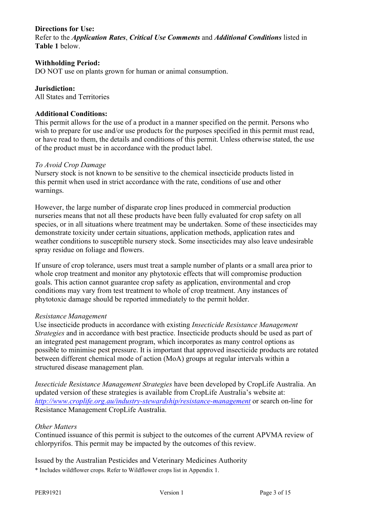# **Directions for Use:**

Refer to the *Application Rates*, *Critical Use Comments* and *Additional Conditions* listed in **Table 1** below.

## **Withholding Period:**

DO NOT use on plants grown for human or animal consumption.

# **Jurisdiction:**

All States and Territories

# **Additional Conditions:**

This permit allows for the use of a product in a manner specified on the permit. Persons who wish to prepare for use and/or use products for the purposes specified in this permit must read, or have read to them, the details and conditions of this permit. Unless otherwise stated, the use of the product must be in accordance with the product label.

#### *To Avoid Crop Damage*

Nursery stock is not known to be sensitive to the chemical insecticide products listed in this permit when used in strict accordance with the rate, conditions of use and other warnings.

However, the large number of disparate crop lines produced in commercial production nurseries means that not all these products have been fully evaluated for crop safety on all species, or in all situations where treatment may be undertaken. Some of these insecticides may demonstrate toxicity under certain situations, application methods, application rates and weather conditions to susceptible nursery stock. Some insecticides may also leave undesirable spray residue on foliage and flowers.

If unsure of crop tolerance, users must treat a sample number of plants or a small area prior to whole crop treatment and monitor any phytotoxic effects that will compromise production goals. This action cannot guarantee crop safety as application, environmental and crop conditions may vary from test treatment to whole of crop treatment. Any instances of phytotoxic damage should be reported immediately to the permit holder.

## *Resistance Management*

Use insecticide products in accordance with existing *Insecticide Resistance Management Strategies* and in accordance with best practice. Insecticide products should be used as part of an integrated pest management program, which incorporates as many control options as possible to minimise pest pressure. It is important that approved insecticide products are rotated between different chemical mode of action (MoA) groups at regular intervals within a structured disease management plan.

*Insecticide Resistance Management Strategies* have been developed by CropLife Australia. An updated version of these strategies is available from CropLife Australia's website at: *<http://www.croplife.org.au/industry-stewardship/resistance-management>* or search on-line for Resistance Management CropLife Australia.

## *Other Matters*

Continued issuance of this permit is subject to the outcomes of the current APVMA review of chlorpyrifos. This permit may be impacted by the outcomes of this review.

Issued by the Australian Pesticides and Veterinary Medicines Authority

\* Includes wildflower crops. Refer to Wildflower crops list in Appendix 1.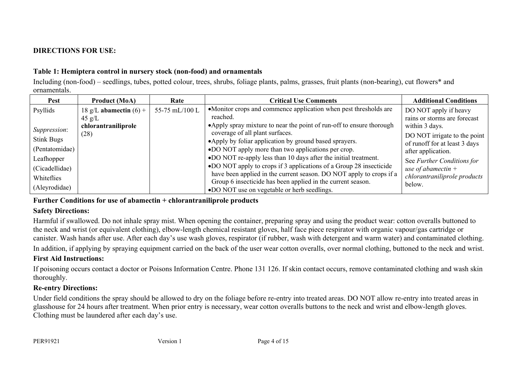# **DIRECTIONS FOR USE:**

# **Table 1: Hemiptera control in nursery stock (non-food) and ornamentals**

Including (non-food) – seedlings, tubes, potted colour, trees, shrubs, foliage plants, palms, grasses, fruit plants (non-bearing), cut flowers\* and ornamentals.

| Pest                 | Product (MoA)            | Rate           | <b>Critical Use Comments</b>                                          | <b>Additional Conditions</b>  |
|----------------------|--------------------------|----------------|-----------------------------------------------------------------------|-------------------------------|
| Psyllids             | 18 g/L abamectin $(6)$ + | 55-75 mL/100 L | •Monitor crops and commence application when pest thresholds are      | DO NOT apply if heavy         |
|                      | $45 \text{ g/L}$         |                | reached.                                                              | rains or storms are forecast  |
|                      | chlorantraniliprole      |                | • Apply spray mixture to near the point of run-off to ensure thorough | within 3 days.                |
| <i>Suppression</i> : | (28)                     |                | coverage of all plant surfaces.                                       | DO NOT irrigate to the point  |
| <b>Stink Bugs</b>    |                          |                | • Apply by foliar application by ground based sprayers.               | of runoff for at least 3 days |
| (Pentatomidae)       |                          |                | •DO NOT apply more than two applications per crop.                    | after application.            |
| Leafhopper           |                          |                | •DO NOT re-apply less than 10 days after the initial treatment.       | See Further Conditions for    |
| (Cicadellidae)       |                          |                | •DO NOT apply to crops if 3 applications of a Group 28 insecticide    | use of abamectin $+$          |
| Whiteflies           |                          |                | have been applied in the current season. DO NOT apply to crops if a   | chlorantraniliprole products  |
|                      |                          |                | Group 6 insecticide has been applied in the current season.           | below.                        |
| (Aleyrodidae)        |                          |                | •DO NOT use on vegetable or herb seedlings.                           |                               |

# **Further Conditions for use of abamectin + chlorantraniliprole products**

# **Safety Directions:**

Harmful if swallowed. Do not inhale spray mist. When opening the container, preparing spray and using the product wear: cotton overalls buttoned to the neck and wrist (or equivalent clothing), elbow-length chemical resistant gloves, half face piece respirator with organic vapour/gas cartridge or canister. Wash hands after use. After each day's use wash gloves, respirator (if rubber, wash with detergent and warm water) and contaminated clothing.

In addition, if applying by spraying equipment carried on the back of the user wear cotton overalls, over normal clothing, buttoned to the neck and wrist.

# **First Aid Instructions:**

If poisoning occurs contact a doctor or Poisons Information Centre. Phone 131 126. If skin contact occurs, remove contaminated clothing and wash skin thoroughly.

# **Re-entry Directions:**

Under field conditions the spray should be allowed to dry on the foliage before re-entry into treated areas. DO NOT allow re-entry into treated areas in glasshouse for 24 hours after treatment. When prior entry is necessary, wear cotton overalls buttons to the neck and wrist and elbow-length gloves. Clothing must be laundered after each day's use.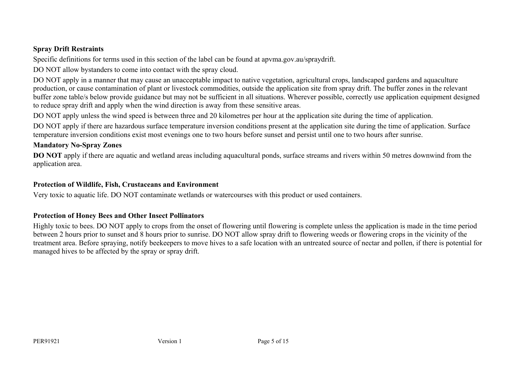# **Spray Drift Restraints**

Specific definitions for terms used in this section of the label can be found at apvma.gov.au/spraydrift.

DO NOT allow bystanders to come into contact with the spray cloud.

DO NOT apply in a manner that may cause an unacceptable impact to native vegetation, agricultural crops, landscaped gardens and aquaculture production, or cause contamination of plant or livestock commodities, outside the application site from spray drift. The buffer zones in the relevant buffer zone table/s below provide guidance but may not be sufficient in all situations. Wherever possible, correctly use application equipment designed to reduce spray drift and apply when the wind direction is away from these sensitive areas.

DO NOT apply unless the wind speed is between three and 20 kilometres per hour at the application site during the time of application.

DO NOT apply if there are hazardous surface temperature inversion conditions present at the application site during the time of application. Surface temperature inversion conditions exist most evenings one to two hours before sunset and persist until one to two hours after sunrise.

# **Mandatory No-Spray Zones**

**DO** NOT apply if there are aquatic and wetland areas including aquacultural ponds, surface streams and rivers within 50 metres downwind from the application area.

# **Protection of Wildlife, Fish, Crustaceans and Environment**

Very toxic to aquatic life. DO NOT contaminate wetlands or watercourses with this product or used containers.

# **Protection of Honey Bees and Other Insect Pollinators**

Highly toxic to bees. DO NOT apply to crops from the onset of flowering until flowering is complete unless the application is made in the time period between 2 hours prior to sunset and 8 hours prior to sunrise. DO NOT allow spray drift to flowering weeds or flowering crops in the vicinity of the treatment area. Before spraying, notify beekeepers to move hives to a safe location with an untreated source of nectar and pollen, if there is potential for managed hives to be affected by the spray or spray drift.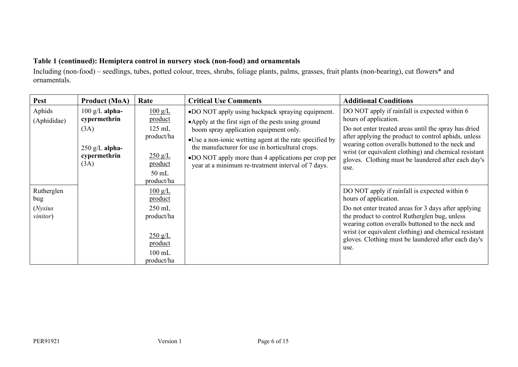# **Table 1 (continued): Hemiptera control in nursery stock (non-food) and ornamentals**

Including (non-food) – seedlings, tubes, potted colour, trees, shrubs, foliage plants, palms, grasses, fruit plants (non-bearing), cut flowers\* and ornamentals.

| <b>Pest</b>                                      | <b>Product (MoA)</b>                                                                         | Rate                                                                                                                      | <b>Critical Use Comments</b>                                                                                                                                                                                                                                                                                                                                                 | <b>Additional Conditions</b>                                                                                                                                                                                                                                                                                                                                       |
|--------------------------------------------------|----------------------------------------------------------------------------------------------|---------------------------------------------------------------------------------------------------------------------------|------------------------------------------------------------------------------------------------------------------------------------------------------------------------------------------------------------------------------------------------------------------------------------------------------------------------------------------------------------------------------|--------------------------------------------------------------------------------------------------------------------------------------------------------------------------------------------------------------------------------------------------------------------------------------------------------------------------------------------------------------------|
| Aphids<br>(Aphididae)                            | $100 \text{ g/L}$ alpha-<br>cypermethrin<br>(3A)<br>$250$ g/L alpha-<br>cypermethrin<br>(3A) | $\frac{100 \text{ g/L}}{2}$<br>product<br>$125$ mL<br>product/ha<br>$250 \text{ g/L}$<br>product<br>$50$ mL<br>product/ha | •DO NOT apply using backpack spraying equipment.<br>•Apply at the first sign of the pests using ground<br>boom spray application equipment only.<br>•Use a non-ionic wetting agent at the rate specified by<br>the manufacturer for use in horticultural crops.<br>•DO NOT apply more than 4 applications per crop per<br>year at a minimum re-treatment interval of 7 days. | DO NOT apply if rainfall is expected within 6<br>hours of application.<br>Do not enter treated areas until the spray has dried<br>after applying the product to control aphids, unless<br>wearing cotton overalls buttoned to the neck and<br>wrist (or equivalent clothing) and chemical resistant<br>gloves. Clothing must be laundered after each day's<br>use. |
| Rutherglen<br>bug<br>(Nysius<br><i>vinitor</i> ) |                                                                                              | $100 \text{ g/L}$<br>product<br>$250$ mL<br>product/ha<br>$250 \text{ g/L}$<br>product<br>$100$ mL<br>product/ha          |                                                                                                                                                                                                                                                                                                                                                                              | DO NOT apply if rainfall is expected within 6<br>hours of application.<br>Do not enter treated areas for 3 days after applying<br>the product to control Rutherglen bug, unless<br>wearing cotton overalls buttoned to the neck and<br>wrist (or equivalent clothing) and chemical resistant<br>gloves. Clothing must be laundered after each day's<br>use.        |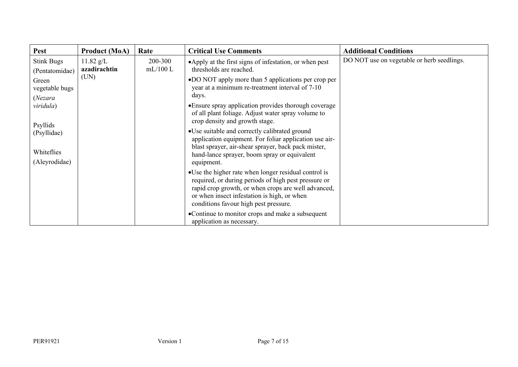| <b>Pest</b>       | <b>Product (MoA)</b>        | Rate               | <b>Critical Use Comments</b>                                                                                | <b>Additional Conditions</b>               |
|-------------------|-----------------------------|--------------------|-------------------------------------------------------------------------------------------------------------|--------------------------------------------|
| <b>Stink Bugs</b> | $11.82$ g/L<br>azadirachtin | 200-300<br>mL/100L | •Apply at the first signs of infestation, or when pest<br>thresholds are reached.                           | DO NOT use on vegetable or herb seedlings. |
| (Pentatomidae)    | (UN)                        |                    | •DO NOT apply more than 5 applications per crop per                                                         |                                            |
| Green             |                             |                    |                                                                                                             |                                            |
| vegetable bugs    |                             |                    | year at a minimum re-treatment interval of 7-10<br>days.                                                    |                                            |
| (Nezara           |                             |                    |                                                                                                             |                                            |
| viridula)         |                             |                    | • Ensure spray application provides thorough coverage<br>of all plant foliage. Adjust water spray volume to |                                            |
|                   |                             |                    | crop density and growth stage.                                                                              |                                            |
| Psyllids          |                             |                    | • Use suitable and correctly calibrated ground                                                              |                                            |
| (Psyllidae)       |                             |                    | application equipment. For foliar application use air-                                                      |                                            |
|                   |                             |                    | blast sprayer, air-shear sprayer, back pack mister,                                                         |                                            |
| Whiteflies        |                             |                    | hand-lance sprayer, boom spray or equivalent                                                                |                                            |
| (Aleyrodidae)     |                             |                    | equipment.                                                                                                  |                                            |
|                   |                             |                    | • Use the higher rate when longer residual control is                                                       |                                            |
|                   |                             |                    | required, or during periods of high pest pressure or                                                        |                                            |
|                   |                             |                    | rapid crop growth, or when crops are well advanced,<br>or when insect infestation is high, or when          |                                            |
|                   |                             |                    | conditions favour high pest pressure.                                                                       |                                            |
|                   |                             |                    | •Continue to monitor crops and make a subsequent                                                            |                                            |
|                   |                             |                    | application as necessary.                                                                                   |                                            |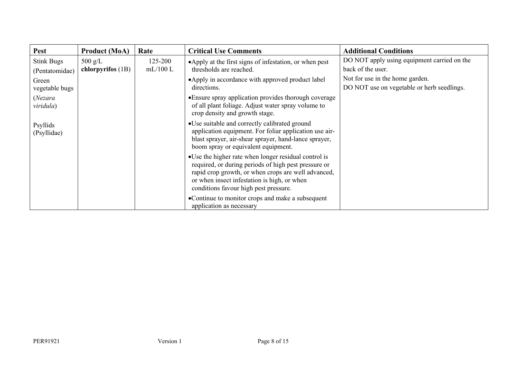| Pest                                | <b>Product (MoA)</b>           | Rate               | <b>Critical Use Comments</b>                                                                                                                                                                                                                                 | <b>Additional Conditions</b>                                                  |
|-------------------------------------|--------------------------------|--------------------|--------------------------------------------------------------------------------------------------------------------------------------------------------------------------------------------------------------------------------------------------------------|-------------------------------------------------------------------------------|
| <b>Stink Bugs</b><br>(Pentatomidae) | 500 g/L<br>chlorpyrifos $(1B)$ | 125-200<br>mL/100L | •Apply at the first signs of infestation, or when pest<br>thresholds are reached.                                                                                                                                                                            | DO NOT apply using equipment carried on the<br>back of the user.              |
| Green<br>vegetable bugs             |                                |                    | •Apply in accordance with approved product label<br>directions.                                                                                                                                                                                              | Not for use in the home garden.<br>DO NOT use on vegetable or herb seedlings. |
| (Nezara<br>viridula)                |                                |                    | • Ensure spray application provides thorough coverage<br>of all plant foliage. Adjust water spray volume to<br>crop density and growth stage.                                                                                                                |                                                                               |
| Psyllids<br>(Psyllidae)             |                                |                    | •Use suitable and correctly calibrated ground<br>application equipment. For foliar application use air-<br>blast sprayer, air-shear sprayer, hand-lance sprayer,<br>boom spray or equivalent equipment.                                                      |                                                                               |
|                                     |                                |                    | • Use the higher rate when longer residual control is<br>required, or during periods of high pest pressure or<br>rapid crop growth, or when crops are well advanced,<br>or when insect infestation is high, or when<br>conditions favour high pest pressure. |                                                                               |
|                                     |                                |                    | •Continue to monitor crops and make a subsequent<br>application as necessary                                                                                                                                                                                 |                                                                               |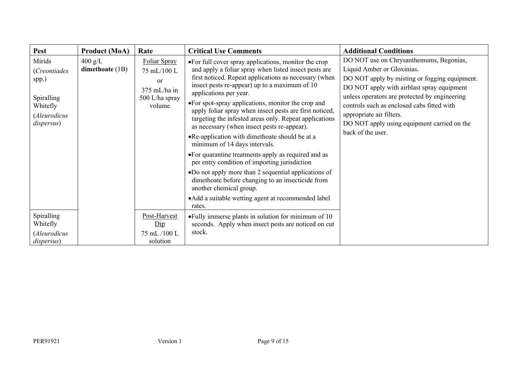| Pest                                                                                           | <b>Product (MoA)</b>                   | Rate                                                                          | <b>Critical Use Comments</b>                                                                                                                                                                                                                                                                                                                                                                                                                                                                                                                                                                                                                                                                                                                                                                                                                                                     | <b>Additional Conditions</b>                                                                                                                                                                                                                                                                                                                                        |
|------------------------------------------------------------------------------------------------|----------------------------------------|-------------------------------------------------------------------------------|----------------------------------------------------------------------------------------------------------------------------------------------------------------------------------------------------------------------------------------------------------------------------------------------------------------------------------------------------------------------------------------------------------------------------------------------------------------------------------------------------------------------------------------------------------------------------------------------------------------------------------------------------------------------------------------------------------------------------------------------------------------------------------------------------------------------------------------------------------------------------------|---------------------------------------------------------------------------------------------------------------------------------------------------------------------------------------------------------------------------------------------------------------------------------------------------------------------------------------------------------------------|
| Mirids<br><i>(Creontiades</i><br>spp.)<br>Spiralling<br>Whitefly<br>(Aleurodicus<br>dispersus) | $400 \text{ g/L}$<br>dimethoate $(1B)$ | Foliar Spray<br>75 mL/100 L<br>or<br>375 mL/ha in<br>500 L/ha spray<br>volume | •For full cover spray applications, monitor the crop<br>and apply a foliar spray when listed insect pests are<br>first noticed. Repeat applications as necessary (when<br>insect pests re-appear) up to a maximum of 10<br>applications per year.<br>•For spot-spray applications, monitor the crop and<br>apply foliar spray when insect pests are first noticed,<br>targeting the infested areas only. Repeat applications<br>as necessary (when insect pests re-appear).<br>•Re-application with dimethoate should be at a<br>minimum of 14 days intervals.<br>• For quarantine treatments apply as required and as<br>per entry condition of importing jurisdiction<br>•Do not apply more than 2 sequential applications of<br>dimethoate before changing to an insecticide from<br>another chemical group.<br>• Add a suitable wetting agent at recommended label<br>rates. | DO NOT use on Chrysanthemums, Begonias,<br>Liquid Amber or Gloxinias.<br>DO NOT apply by misting or fogging equipment.<br>DO NOT apply with airblast spray equipment<br>unless operators are protected by engineering<br>controls such as enclosed cabs fitted with<br>appropriate air filters.<br>DO NOT apply using equipment carried on the<br>back of the user. |
| Spiralling<br>Whitefly<br>(Aleurodicus<br>dispersus)                                           |                                        | Post-Harvest<br>$\overline{Dip}$<br>75 mL /100 L<br>solution                  | • Fully immerse plants in solution for minimum of 10<br>seconds. Apply when insect pests are noticed on cut<br>stock.                                                                                                                                                                                                                                                                                                                                                                                                                                                                                                                                                                                                                                                                                                                                                            |                                                                                                                                                                                                                                                                                                                                                                     |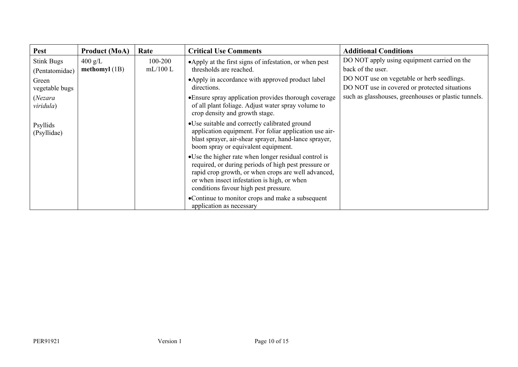| <b>Pest</b>                         | <b>Product (MoA)</b>                 | Rate               | <b>Critical Use Comments</b>                                                                                                                                                                                                                                 | <b>Additional Conditions</b>                                                                |
|-------------------------------------|--------------------------------------|--------------------|--------------------------------------------------------------------------------------------------------------------------------------------------------------------------------------------------------------------------------------------------------------|---------------------------------------------------------------------------------------------|
| <b>Stink Bugs</b><br>(Pentatomidae) | $400 \text{ g/L}$<br>methomyl $(1B)$ | 100-200<br>mL/100L | • Apply at the first signs of infestation, or when pest<br>thresholds are reached.                                                                                                                                                                           | DO NOT apply using equipment carried on the<br>back of the user.                            |
| Green<br>vegetable bugs             |                                      |                    | • Apply in accordance with approved product label<br>directions.                                                                                                                                                                                             | DO NOT use on vegetable or herb seedlings.<br>DO NOT use in covered or protected situations |
| (Nezara<br>viridula)                |                                      |                    | • Ensure spray application provides thorough coverage<br>of all plant foliage. Adjust water spray volume to<br>crop density and growth stage.                                                                                                                | such as glasshouses, greenhouses or plastic tunnels.                                        |
| Psyllids<br>(Psyllidae)             |                                      |                    | •Use suitable and correctly calibrated ground<br>application equipment. For foliar application use air-<br>blast sprayer, air-shear sprayer, hand-lance sprayer,<br>boom spray or equivalent equipment.                                                      |                                                                                             |
|                                     |                                      |                    | • Use the higher rate when longer residual control is<br>required, or during periods of high pest pressure or<br>rapid crop growth, or when crops are well advanced,<br>or when insect infestation is high, or when<br>conditions favour high pest pressure. |                                                                                             |
|                                     |                                      |                    | •Continue to monitor crops and make a subsequent<br>application as necessary                                                                                                                                                                                 |                                                                                             |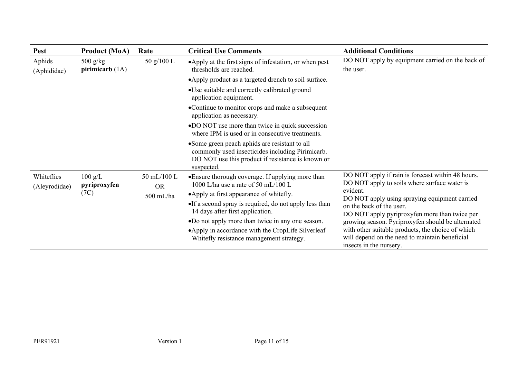| <b>Pest</b>                 | <b>Product (MoA)</b>              | Rate                     | <b>Critical Use Comments</b>                                                                                                                                          | <b>Additional Conditions</b>                                                                                                   |
|-----------------------------|-----------------------------------|--------------------------|-----------------------------------------------------------------------------------------------------------------------------------------------------------------------|--------------------------------------------------------------------------------------------------------------------------------|
| Aphids<br>(Aphididae)       | $500$ g/kg<br>pirimicarb $(1A)$   | 50 g/100 L               | •Apply at the first signs of infestation, or when pest<br>thresholds are reached.                                                                                     | DO NOT apply by equipment carried on the back of<br>the user.                                                                  |
|                             |                                   |                          | • Apply product as a targeted drench to soil surface.                                                                                                                 |                                                                                                                                |
|                             |                                   |                          | •Use suitable and correctly calibrated ground<br>application equipment.                                                                                               |                                                                                                                                |
|                             |                                   |                          | •Continue to monitor crops and make a subsequent<br>application as necessary.                                                                                         |                                                                                                                                |
|                             |                                   |                          | •DO NOT use more than twice in quick succession<br>where IPM is used or in consecutive treatments.                                                                    |                                                                                                                                |
|                             |                                   |                          | • Some green peach aphids are resistant to all<br>commonly used insecticides including Pirimicarb.<br>DO NOT use this product if resistance is known or<br>suspected. |                                                                                                                                |
| Whiteflies<br>(Aleyrodidae) | $100 \text{ g/L}$<br>pyriproxyfen | 50 mL/100 L<br><b>OR</b> | • Ensure thorough coverage. If applying more than<br>1000 L/ha use a rate of 50 mL/100 L                                                                              | DO NOT apply if rain is forecast within 48 hours.<br>DO NOT apply to soils where surface water is                              |
|                             | (7C)                              | 500 mL/ha                | • Apply at first appearance of whitefly.                                                                                                                              | evident.<br>DO NOT apply using spraying equipment carried                                                                      |
|                             |                                   |                          | •If a second spray is required, do not apply less than<br>14 days after first application.                                                                            | on the back of the user.<br>DO NOT apply pyriproxyfen more than twice per                                                      |
|                             |                                   |                          | •Do not apply more than twice in any one season.                                                                                                                      | growing season. Pyriproxyfen should be alternated                                                                              |
|                             |                                   |                          | • Apply in accordance with the CropLife Silverleaf<br>Whitefly resistance management strategy.                                                                        | with other suitable products, the choice of which<br>will depend on the need to maintain beneficial<br>insects in the nursery. |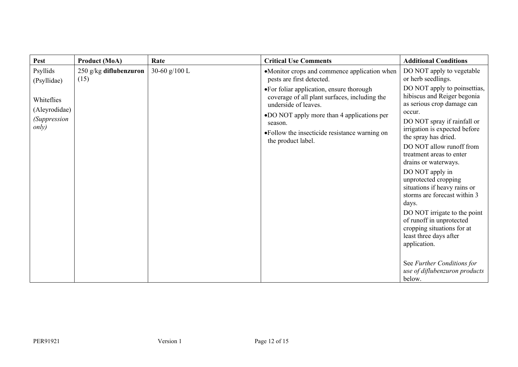| Pest                                                        | <b>Product (MoA)</b>           | Rate          | <b>Critical Use Comments</b>                                                                                                                                                                                                                       | <b>Additional Conditions</b>                                                                                                                                                                                                                                                                                                                                                                                                                                                                                                                                                                                 |
|-------------------------------------------------------------|--------------------------------|---------------|----------------------------------------------------------------------------------------------------------------------------------------------------------------------------------------------------------------------------------------------------|--------------------------------------------------------------------------------------------------------------------------------------------------------------------------------------------------------------------------------------------------------------------------------------------------------------------------------------------------------------------------------------------------------------------------------------------------------------------------------------------------------------------------------------------------------------------------------------------------------------|
| Psyllids<br>(Psyllidae)                                     | 250 g/kg diflubenzuron<br>(15) | 30-60 g/100 L | •Monitor crops and commence application when<br>pests are first detected.                                                                                                                                                                          | DO NOT apply to vegetable<br>or herb seedlings.                                                                                                                                                                                                                                                                                                                                                                                                                                                                                                                                                              |
| Whiteflies<br>(Aleyrodidae)<br><i>(Suppression</i><br>only) |                                |               | •For foliar application, ensure thorough<br>coverage of all plant surfaces, including the<br>underside of leaves.<br>•DO NOT apply more than 4 applications per<br>season.<br>• Follow the insecticide resistance warning on<br>the product label. | DO NOT apply to poinsettias,<br>hibiscus and Reiger begonia<br>as serious crop damage can<br>occur.<br>DO NOT spray if rainfall or<br>irrigation is expected before<br>the spray has dried.<br>DO NOT allow runoff from<br>treatment areas to enter<br>drains or waterways.<br>DO NOT apply in<br>unprotected cropping<br>situations if heavy rains or<br>storms are forecast within 3<br>days.<br>DO NOT irrigate to the point<br>of runoff in unprotected<br>cropping situations for at<br>least three days after<br>application.<br>See Further Conditions for<br>use of diflubenzuron products<br>below. |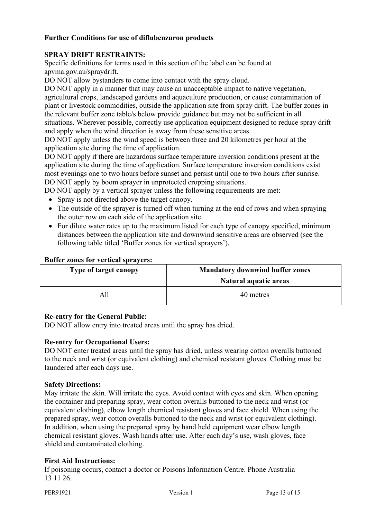# **Further Conditions for use of diflubenzuron products**

# **SPRAY DRIFT RESTRAINTS:**

Specific definitions for terms used in this section of the label can be found at apvma.gov.au/spraydrift.

DO NOT allow bystanders to come into contact with the spray cloud.

DO NOT apply in a manner that may cause an unacceptable impact to native vegetation, agricultural crops, landscaped gardens and aquaculture production, or cause contamination of plant or livestock commodities, outside the application site from spray drift. The buffer zones in the relevant buffer zone table/s below provide guidance but may not be sufficient in all situations. Wherever possible, correctly use application equipment designed to reduce spray drift and apply when the wind direction is away from these sensitive areas.

DO NOT apply unless the wind speed is between three and 20 kilometres per hour at the application site during the time of application.

DO NOT apply if there are hazardous surface temperature inversion conditions present at the application site during the time of application. Surface temperature inversion conditions exist most evenings one to two hours before sunset and persist until one to two hours after sunrise. DO NOT apply by boom sprayer in unprotected cropping situations.

DO NOT apply by a vertical sprayer unless the following requirements are met:

- Spray is not directed above the target canopy.
- The outside of the sprayer is turned off when turning at the end of rows and when spraying the outer row on each side of the application site.
- For dilute water rates up to the maximum listed for each type of canopy specified, minimum distances between the application site and downwind sensitive areas are observed (see the following table titled 'Buffer zones for vertical sprayers').

#### **Buffer zones for vertical sprayers:**

| Type of target canopy | <b>Mandatory downwind buffer zones</b> |
|-----------------------|----------------------------------------|
|                       | Natural aquatic areas                  |
| All                   | 40 metres                              |

## **Re-entry for the General Public:**

DO NOT allow entry into treated areas until the spray has dried.

## **Re-entry for Occupational Users:**

DO NOT enter treated areas until the spray has dried, unless wearing cotton overalls buttoned to the neck and wrist (or equivalent clothing) and chemical resistant gloves. Clothing must be laundered after each days use.

#### **Safety Directions:**

May irritate the skin. Will irritate the eyes. Avoid contact with eyes and skin. When opening the container and preparing spray, wear cotton overalls buttoned to the neck and wrist (or equivalent clothing), elbow length chemical resistant gloves and face shield. When using the prepared spray, wear cotton overalls buttoned to the neck and wrist (or equivalent clothing). In addition, when using the prepared spray by hand held equipment wear elbow length chemical resistant gloves. Wash hands after use. After each day's use, wash gloves, face shield and contaminated clothing.

## **First Aid Instructions:**

If poisoning occurs, contact a doctor or Poisons Information Centre. Phone Australia 13 11 26.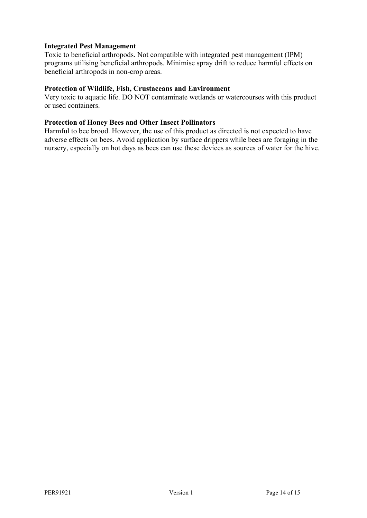# **Integrated Pest Management**

Toxic to beneficial arthropods. Not compatible with integrated pest management (IPM) programs utilising beneficial arthropods. Minimise spray drift to reduce harmful effects on beneficial arthropods in non-crop areas.

# **Protection of Wildlife, Fish, Crustaceans and Environment**

Very toxic to aquatic life. DO NOT contaminate wetlands or watercourses with this product or used containers.

# **Protection of Honey Bees and Other Insect Pollinators**

Harmful to bee brood. However, the use of this product as directed is not expected to have adverse effects on bees. Avoid application by surface drippers while bees are foraging in the nursery, especially on hot days as bees can use these devices as sources of water for the hive.